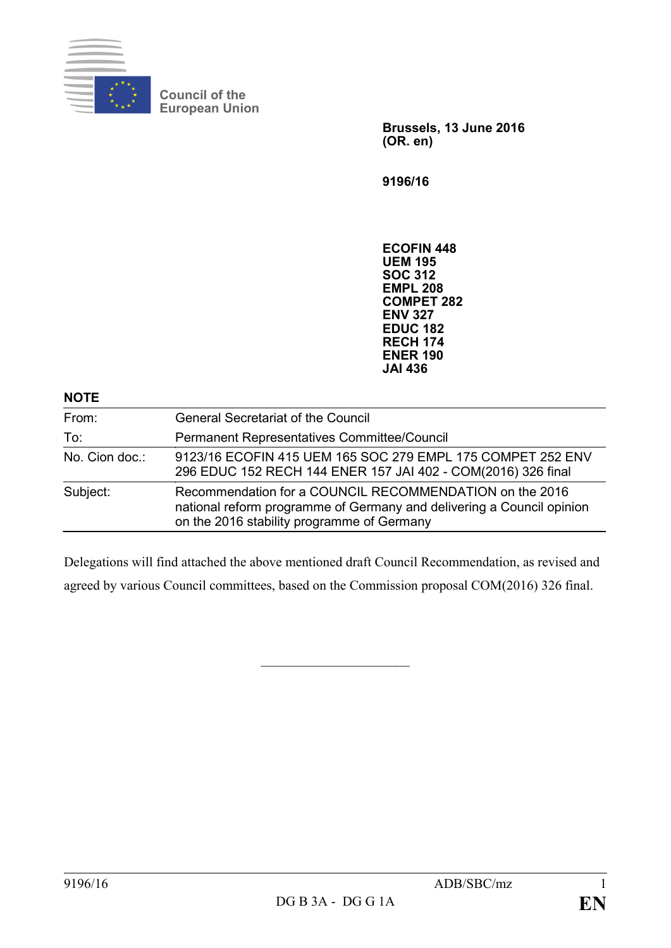

**Council of the European Union**

> **Brussels, 13 June 2016 (OR. en)**

**9196/16**

**ECOFIN 448 UEM 195 SOC 312 EMPL 208 COMPET 282 ENV 327 EDUC 182 RECH 174 ENER 190 JAI 436**

| <b>NOTE</b>    |                                                                                                                                                                                |
|----------------|--------------------------------------------------------------------------------------------------------------------------------------------------------------------------------|
| From:          | <b>General Secretariat of the Council</b>                                                                                                                                      |
| To:            | Permanent Representatives Committee/Council                                                                                                                                    |
| No. Cion doc.: | 9123/16 ECOFIN 415 UEM 165 SOC 279 EMPL 175 COMPET 252 ENV<br>296 EDUC 152 RECH 144 ENER 157 JAI 402 - COM(2016) 326 final                                                     |
| Subject:       | Recommendation for a COUNCIL RECOMMENDATION on the 2016<br>national reform programme of Germany and delivering a Council opinion<br>on the 2016 stability programme of Germany |

Delegations will find attached the above mentioned draft Council Recommendation, as revised and agreed by various Council committees, based on the Commission proposal COM(2016) 326 final.

 $\overline{\phantom{a}}$  , where  $\overline{\phantom{a}}$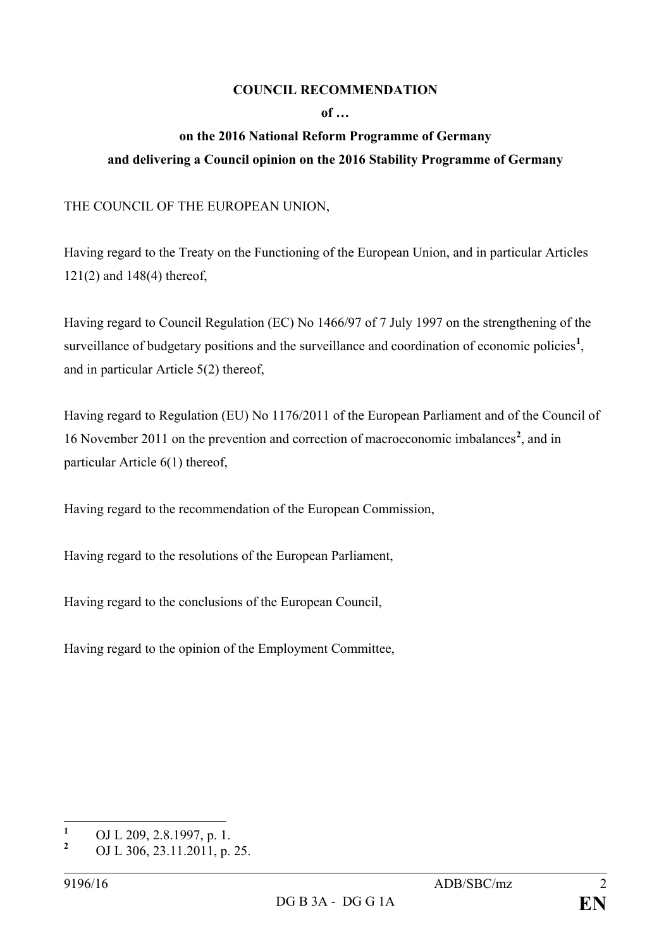## **COUNCIL RECOMMENDATION**

## **of …**

## **on the 2016 National Reform Programme of Germany and delivering a Council opinion on the 2016 Stability Programme of Germany**

## THE COUNCIL OF THE EUROPEAN UNION,

Having regard to the Treaty on the Functioning of the European Union, and in particular Articles 121(2) and 148(4) thereof,

Having regard to Council Regulation (EC) No 1466/97 of 7 July 1997 on the strengthening of the surveillance of budgetary positions and the surveillance and coordination of economic policies<sup>[1](#page-1-0)</sup>, and in particular Article 5(2) thereof,

Having regard to Regulation (EU) No 1176/2011 of the European Parliament and of the Council of 16 November 2011 on the prevention and correction of macroeconomic imbalances**[2](#page-1-1)** , and in particular Article 6(1) thereof,

Having regard to the recommendation of the European Commission,

Having regard to the resolutions of the European Parliament,

Having regard to the conclusions of the European Council,

Having regard to the opinion of the Employment Committee,

<span id="page-1-0"></span>**<sup>1</sup>** OJ L 209, 2.8.1997, p. 1.

<span id="page-1-1"></span>**<sup>2</sup>** OJ L 306, 23.11.2011, p. 25.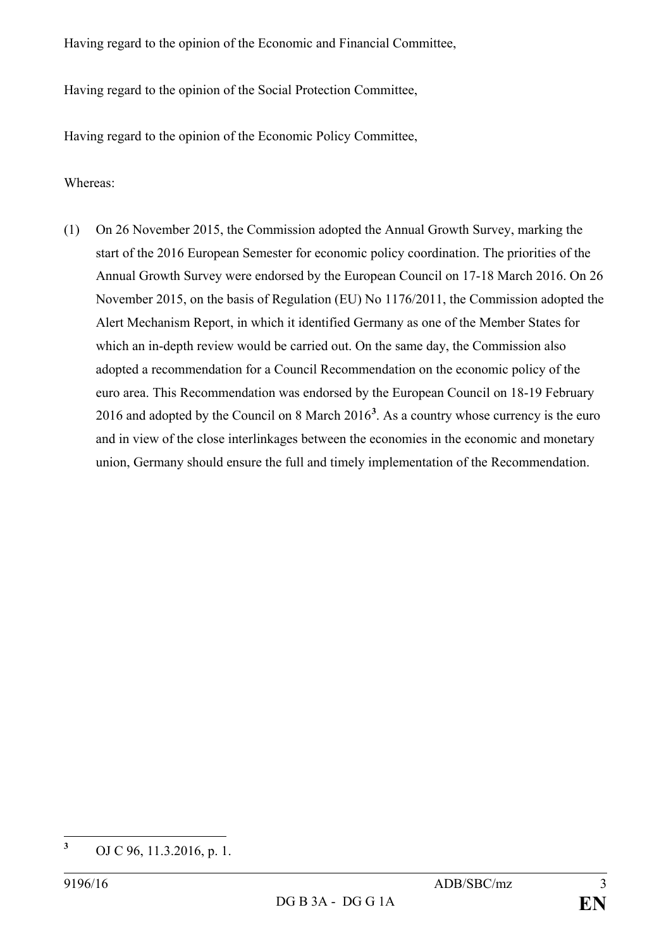Having regard to the opinion of the Economic and Financial Committee,

Having regard to the opinion of the Social Protection Committee,

Having regard to the opinion of the Economic Policy Committee,

Whereas:

(1) On 26 November 2015, the Commission adopted the Annual Growth Survey, marking the start of the 2016 European Semester for economic policy coordination. The priorities of the Annual Growth Survey were endorsed by the European Council on 17-18 March 2016. On 26 November 2015, on the basis of Regulation (EU) No 1176/2011, the Commission adopted the Alert Mechanism Report, in which it identified Germany as one of the Member States for which an in-depth review would be carried out. On the same day, the Commission also adopted a recommendation for a Council Recommendation on the economic policy of the euro area. This Recommendation was endorsed by the European Council on 18-19 February 2016 and adopted by the Council on 8 March 2016**[3](#page-2-0)** . As a country whose currency is the euro and in view of the close interlinkages between the economies in the economic and monetary union, Germany should ensure the full and timely implementation of the Recommendation.

<span id="page-2-0"></span>**<sup>3</sup>** OJ C 96, 11.3.2016, p. 1.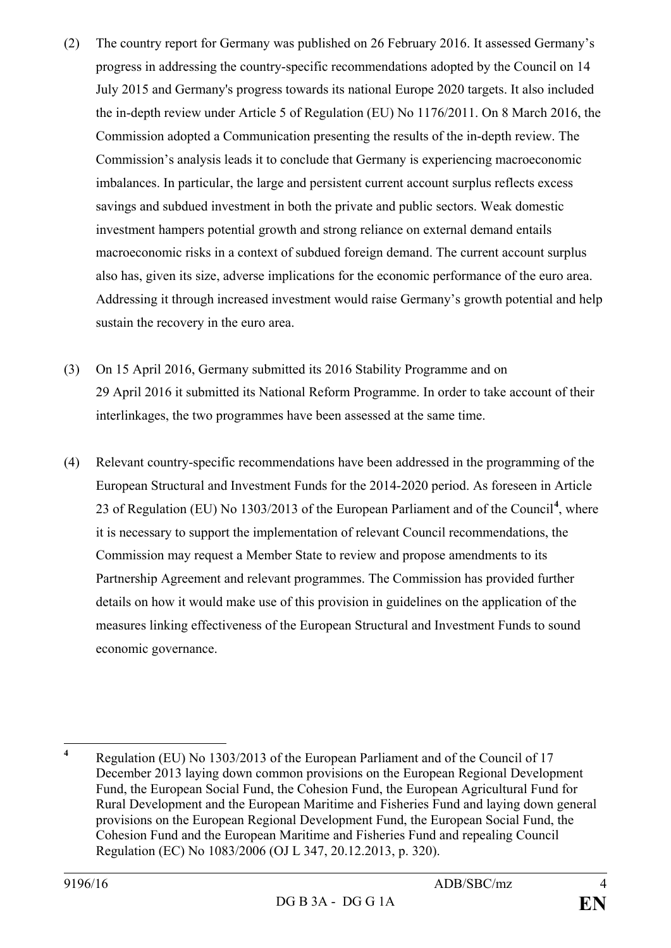- (2) The country report for Germany was published on 26 February 2016. It assessed Germany's progress in addressing the country-specific recommendations adopted by the Council on 14 July 2015 and Germany's progress towards its national Europe 2020 targets. It also included the in-depth review under Article 5 of Regulation (EU) No 1176/2011. On 8 March 2016, the Commission adopted a Communication presenting the results of the in-depth review. The Commission's analysis leads it to conclude that Germany is experiencing macroeconomic imbalances. In particular, the large and persistent current account surplus reflects excess savings and subdued investment in both the private and public sectors. Weak domestic investment hampers potential growth and strong reliance on external demand entails macroeconomic risks in a context of subdued foreign demand. The current account surplus also has, given its size, adverse implications for the economic performance of the euro area. Addressing it through increased investment would raise Germany's growth potential and help sustain the recovery in the euro area.
- (3) On 15 April 2016, Germany submitted its 2016 Stability Programme and on 29 April 2016 it submitted its National Reform Programme. In order to take account of their interlinkages, the two programmes have been assessed at the same time.
- (4) Relevant country-specific recommendations have been addressed in the programming of the European Structural and Investment Funds for the 2014-2020 period. As foreseen in Article 23 of Regulation (EU) No 1303/2013 of the European Parliament and of the Council**[4](#page-3-0)** , where it is necessary to support the implementation of relevant Council recommendations, the Commission may request a Member State to review and propose amendments to its Partnership Agreement and relevant programmes. The Commission has provided further details on how it would make use of this provision in guidelines on the application of the measures linking effectiveness of the European Structural and Investment Funds to sound economic governance.

<span id="page-3-0"></span>**<sup>4</sup>** Regulation (EU) No 1303/2013 of the European Parliament and of the Council of 17 December 2013 laying down common provisions on the European Regional Development Fund, the European Social Fund, the Cohesion Fund, the European Agricultural Fund for Rural Development and the European Maritime and Fisheries Fund and laying down general provisions on the European Regional Development Fund, the European Social Fund, the Cohesion Fund and the European Maritime and Fisheries Fund and repealing Council Regulation (EC) No 1083/2006 (OJ L 347, 20.12.2013, p. 320).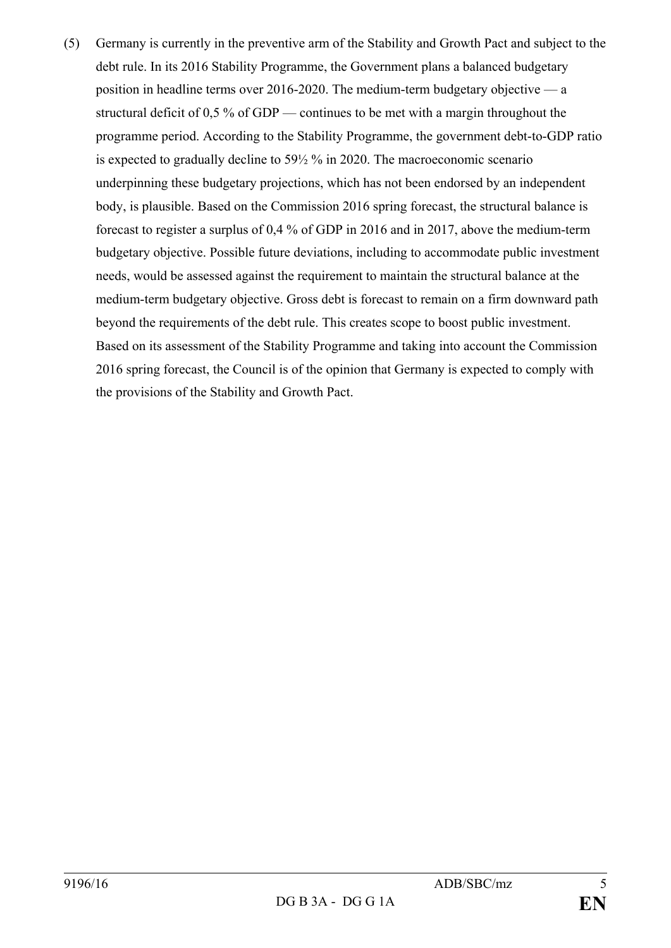(5) Germany is currently in the preventive arm of the Stability and Growth Pact and subject to the debt rule. In its 2016 Stability Programme, the Government plans a balanced budgetary position in headline terms over 2016-2020. The medium-term budgetary objective — a structural deficit of 0,5 % of GDP — continues to be met with a margin throughout the programme period. According to the Stability Programme, the government debt-to-GDP ratio is expected to gradually decline to 59½ % in 2020. The macroeconomic scenario underpinning these budgetary projections, which has not been endorsed by an independent body, is plausible. Based on the Commission 2016 spring forecast, the structural balance is forecast to register a surplus of 0,4 % of GDP in 2016 and in 2017, above the medium-term budgetary objective. Possible future deviations, including to accommodate public investment needs, would be assessed against the requirement to maintain the structural balance at the medium-term budgetary objective. Gross debt is forecast to remain on a firm downward path beyond the requirements of the debt rule. This creates scope to boost public investment. Based on its assessment of the Stability Programme and taking into account the Commission 2016 spring forecast, the Council is of the opinion that Germany is expected to comply with the provisions of the Stability and Growth Pact.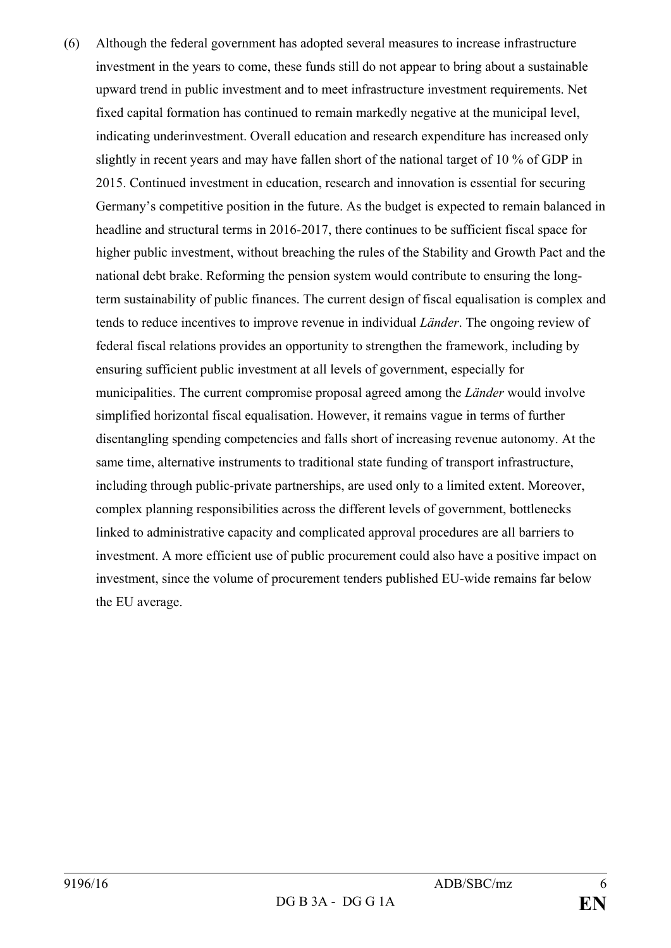(6) Although the federal government has adopted several measures to increase infrastructure investment in the years to come, these funds still do not appear to bring about a sustainable upward trend in public investment and to meet infrastructure investment requirements. Net fixed capital formation has continued to remain markedly negative at the municipal level, indicating underinvestment. Overall education and research expenditure has increased only slightly in recent years and may have fallen short of the national target of 10 % of GDP in 2015. Continued investment in education, research and innovation is essential for securing Germany's competitive position in the future. As the budget is expected to remain balanced in headline and structural terms in 2016-2017, there continues to be sufficient fiscal space for higher public investment, without breaching the rules of the Stability and Growth Pact and the national debt brake. Reforming the pension system would contribute to ensuring the longterm sustainability of public finances. The current design of fiscal equalisation is complex and tends to reduce incentives to improve revenue in individual *Länder*. The ongoing review of federal fiscal relations provides an opportunity to strengthen the framework, including by ensuring sufficient public investment at all levels of government, especially for municipalities. The current compromise proposal agreed among the *Länder* would involve simplified horizontal fiscal equalisation. However, it remains vague in terms of further disentangling spending competencies and falls short of increasing revenue autonomy. At the same time, alternative instruments to traditional state funding of transport infrastructure, including through public-private partnerships, are used only to a limited extent. Moreover, complex planning responsibilities across the different levels of government, bottlenecks linked to administrative capacity and complicated approval procedures are all barriers to investment. A more efficient use of public procurement could also have a positive impact on investment, since the volume of procurement tenders published EU-wide remains far below the EU average.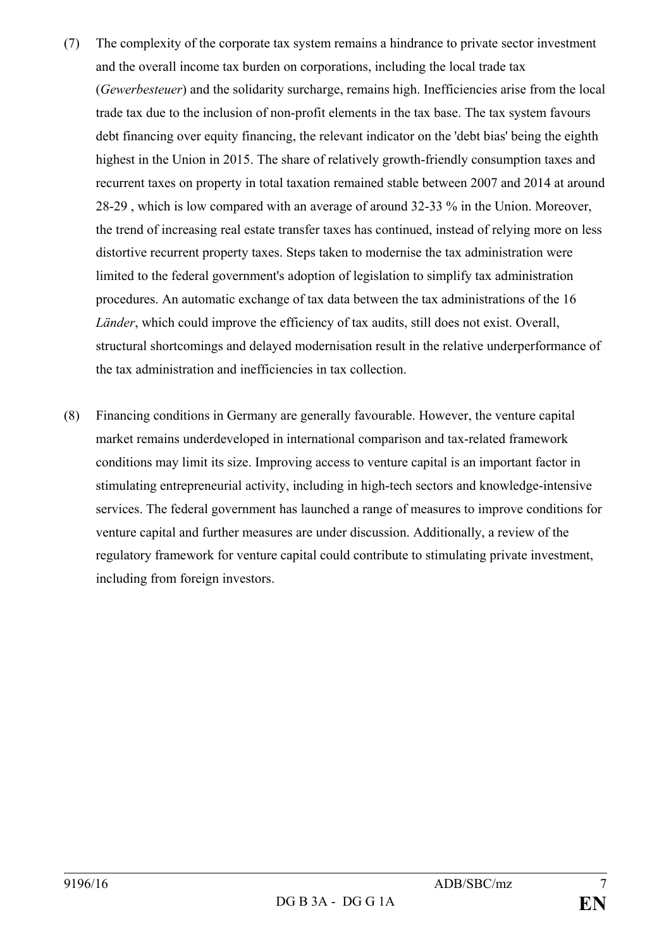- (7) The complexity of the corporate tax system remains a hindrance to private sector investment and the overall income tax burden on corporations, including the local trade tax (*Gewerbesteuer*) and the solidarity surcharge, remains high. Inefficiencies arise from the local trade tax due to the inclusion of non-profit elements in the tax base. The tax system favours debt financing over equity financing, the relevant indicator on the 'debt bias' being the eighth highest in the Union in 2015. The share of relatively growth-friendly consumption taxes and recurrent taxes on property in total taxation remained stable between 2007 and 2014 at around 28-29 , which is low compared with an average of around 32-33 % in the Union. Moreover, the trend of increasing real estate transfer taxes has continued, instead of relying more on less distortive recurrent property taxes. Steps taken to modernise the tax administration were limited to the federal government's adoption of legislation to simplify tax administration procedures. An automatic exchange of tax data between the tax administrations of the 16 *Länder*, which could improve the efficiency of tax audits, still does not exist. Overall, structural shortcomings and delayed modernisation result in the relative underperformance of the tax administration and inefficiencies in tax collection.
- (8) Financing conditions in Germany are generally favourable. However, the venture capital market remains underdeveloped in international comparison and tax-related framework conditions may limit its size. Improving access to venture capital is an important factor in stimulating entrepreneurial activity, including in high-tech sectors and knowledge-intensive services. The federal government has launched a range of measures to improve conditions for venture capital and further measures are under discussion. Additionally, a review of the regulatory framework for venture capital could contribute to stimulating private investment, including from foreign investors.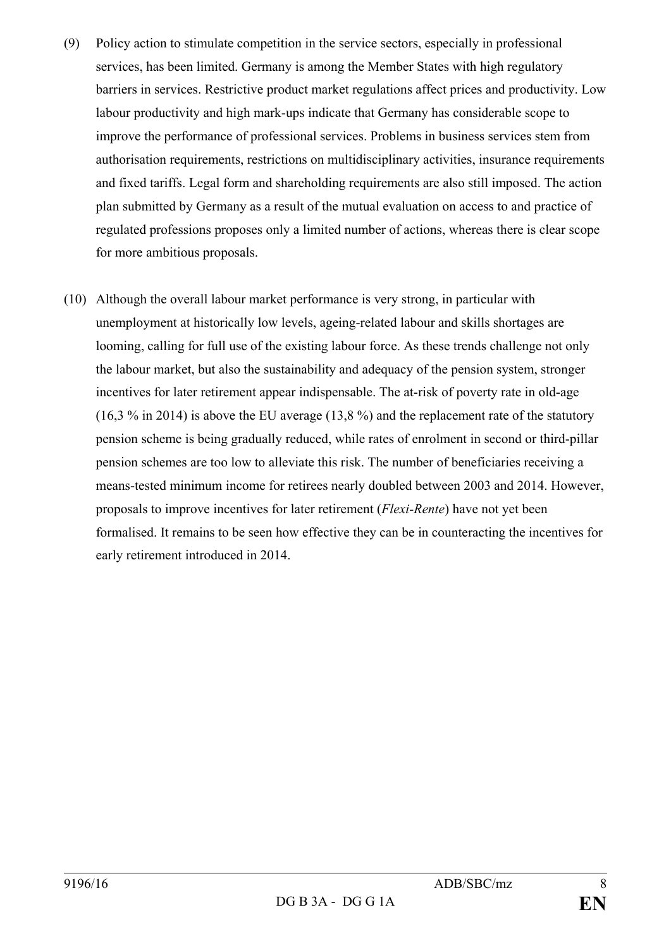- (9) Policy action to stimulate competition in the service sectors, especially in professional services, has been limited. Germany is among the Member States with high regulatory barriers in services. Restrictive product market regulations affect prices and productivity. Low labour productivity and high mark-ups indicate that Germany has considerable scope to improve the performance of professional services. Problems in business services stem from authorisation requirements, restrictions on multidisciplinary activities, insurance requirements and fixed tariffs. Legal form and shareholding requirements are also still imposed. The action plan submitted by Germany as a result of the mutual evaluation on access to and practice of regulated professions proposes only a limited number of actions, whereas there is clear scope for more ambitious proposals.
- (10) Although the overall labour market performance is very strong, in particular with unemployment at historically low levels, ageing-related labour and skills shortages are looming, calling for full use of the existing labour force. As these trends challenge not only the labour market, but also the sustainability and adequacy of the pension system, stronger incentives for later retirement appear indispensable. The at-risk of poverty rate in old-age (16,3 % in 2014) is above the EU average (13,8 %) and the replacement rate of the statutory pension scheme is being gradually reduced, while rates of enrolment in second or third-pillar pension schemes are too low to alleviate this risk. The number of beneficiaries receiving a means-tested minimum income for retirees nearly doubled between 2003 and 2014. However, proposals to improve incentives for later retirement (*Flexi-Rente*) have not yet been formalised. It remains to be seen how effective they can be in counteracting the incentives for early retirement introduced in 2014.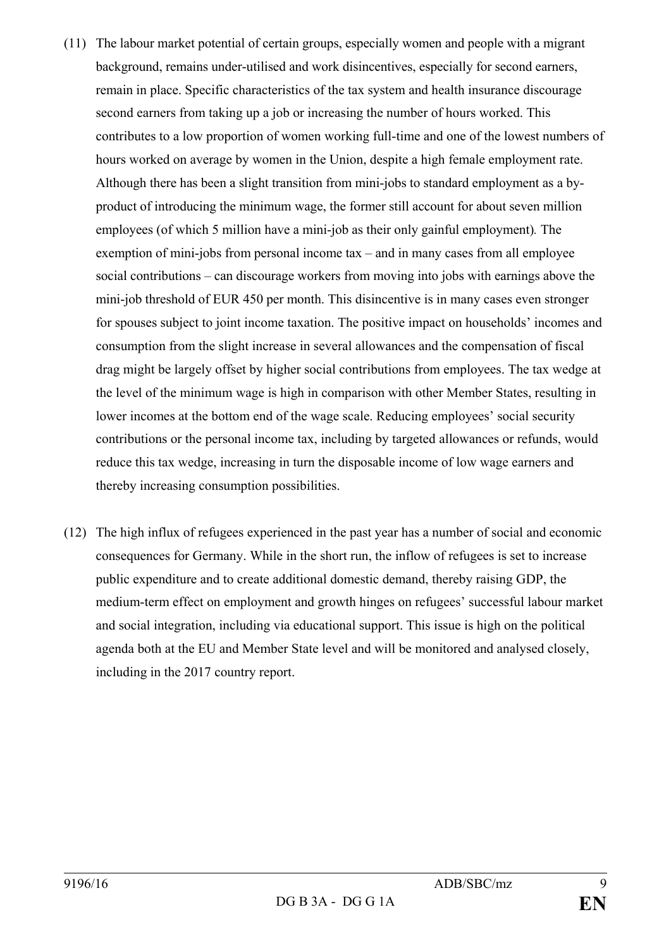- (11) The labour market potential of certain groups, especially women and people with a migrant background, remains under-utilised and work disincentives, especially for second earners, remain in place. Specific characteristics of the tax system and health insurance discourage second earners from taking up a job or increasing the number of hours worked. This contributes to a low proportion of women working full-time and one of the lowest numbers of hours worked on average by women in the Union, despite a high female employment rate. Although there has been a slight transition from mini-jobs to standard employment as a byproduct of introducing the minimum wage, the former still account for about seven million employees (of which 5 million have a mini-job as their only gainful employment)*.* The exemption of mini-jobs from personal income tax – and in many cases from all employee social contributions – can discourage workers from moving into jobs with earnings above the mini-job threshold of EUR 450 per month. This disincentive is in many cases even stronger for spouses subject to joint income taxation. The positive impact on households' incomes and consumption from the slight increase in several allowances and the compensation of fiscal drag might be largely offset by higher social contributions from employees. The tax wedge at the level of the minimum wage is high in comparison with other Member States, resulting in lower incomes at the bottom end of the wage scale. Reducing employees' social security contributions or the personal income tax, including by targeted allowances or refunds, would reduce this tax wedge, increasing in turn the disposable income of low wage earners and thereby increasing consumption possibilities.
- (12) The high influx of refugees experienced in the past year has a number of social and economic consequences for Germany. While in the short run, the inflow of refugees is set to increase public expenditure and to create additional domestic demand, thereby raising GDP, the medium-term effect on employment and growth hinges on refugees' successful labour market and social integration, including via educational support. This issue is high on the political agenda both at the EU and Member State level and will be monitored and analysed closely, including in the 2017 country report.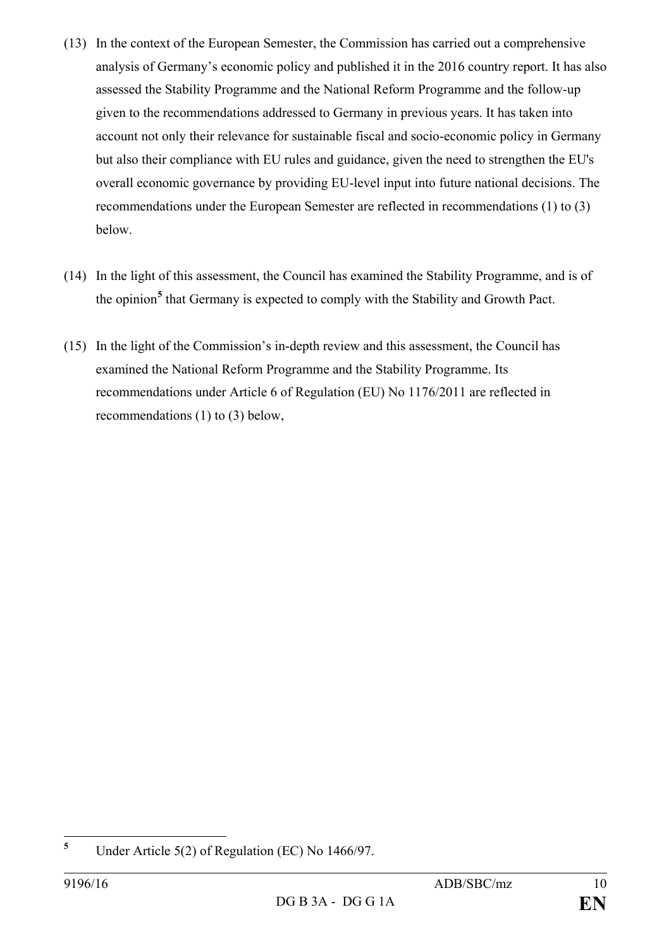- (13) In the context of the European Semester, the Commission has carried out a comprehensive analysis of Germany's economic policy and published it in the 2016 country report. It has also assessed the Stability Programme and the National Reform Programme and the follow-up given to the recommendations addressed to Germany in previous years. It has taken into account not only their relevance for sustainable fiscal and socio-economic policy in Germany but also their compliance with EU rules and guidance, given the need to strengthen the EU's overall economic governance by providing EU-level input into future national decisions. The recommendations under the European Semester are reflected in recommendations (1) to (3) below.
- (14) In the light of this assessment, the Council has examined the Stability Programme, and is of the opinion**[5](#page-9-0)** that Germany is expected to comply with the Stability and Growth Pact.
- (15) In the light of the Commission's in-depth review and this assessment, the Council has examined the National Reform Programme and the Stability Programme. Its recommendations under Article 6 of Regulation (EU) No 1176/2011 are reflected in recommendations (1) to (3) below,

<span id="page-9-0"></span>**<sup>5</sup>** Under Article 5(2) of Regulation (EC) No 1466/97.